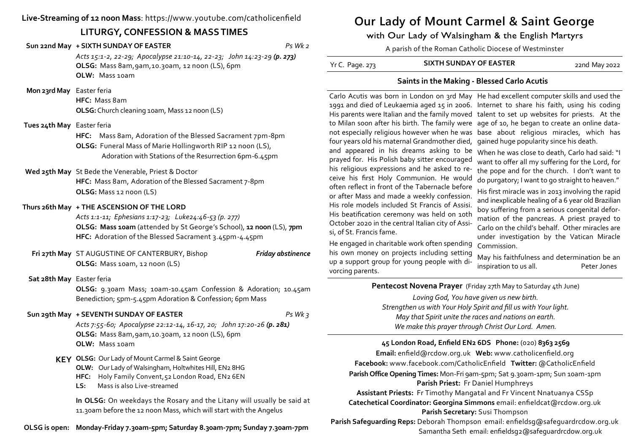## **Live-Streaming of 12 noon Mass**: https://www.youtube.com/catholicenfield

## **LITURGY, CONFESSION & MASS TIMES**

**Sun 22nd May + SIXTH SUNDAY OF EASTER** *Ps Wk 2*

*Acts 15:1-2, 22-29; Apocalypse 21:10-14, 22-23; John 14:23-29 (p. 273)* **OLSG:** Mass 8am,9am,10.30am, 12 noon (LS), 6pm **OLW:** Mass 10am

 **Mon 23rd May** Easter feria

**HFC:** Mass 8am **OLSG:** Church cleaning 10am, Mass 12 noon (LS)

 **Tues 24th May** Easter feria

**HFC:** Mass 8am, Adoration of the Blessed Sacrament 7pm-8pm **OLSG:** Funeral Mass of Marie Hollingworth RIP 12 noon (LS), Adoration with Stations of the Resurrection 6pm-6.45pm

**Wed 25th May** St Bede the Venerable, Priest & Doctor

**HFC:** Mass 8am, Adoration of the Blessed Sacrament 7-8pm **OLSG:** Mass 12 noon (LS)

### **Thurs 26th May + THE ASCENSION OF THE LORD**

*Acts 1:1-11; Ephesians 1:17-23; Luke24:46-53 (p. 277)* **OLSG: Mass 10am** (attended by St George's School), **12 noon** (LS), **7pm HFC:** Adoration of the Blessed Sacrament 3.45pm-4.45pm

**Fri 27th May** ST AUGUSTINE OF CANTERBURY, Bishop *Friday abstinence* **OLSG:** Mass 10am, 12 noon (LS)

**Sat 28th May** Easter feria

**OLSG:** 9.30am Mass; 10am-10.45am Confession & Adoration; 10.45am Benediction; 5pm-5.45pm Adoration & Confession; 6pm Mass

#### **Sun 29th May + SEVENTH SUNDAY OF EASTER** *Ps Wk 3*

*Acts 7:55-60; Apocalypse 22:12-14, 16-17, 20; John 17:20-26 (p. 281)* **OLSG:** Mass 8am,9am,10.30am, 12 noon (LS), 6pm **OLW:** Mass 10am

- **KEY OLSG:** Our Lady of Mount Carmel & Saint George
	- **OLW:** Our Lady of Walsingham, Holtwhites Hill, EN2 8HG
	- **HFC:** Holy Family Convent,52 London Road, EN2 6EN
	- **LS:** Mass is also Live-streamed

**In OLSG:** On weekdays the Rosary and the Litany will usually be said at 11.30am before the 12 noon Mass, which will start with the Angelus

**OLSG is open: Monday-Friday 7.30am-5pm; Saturday 8.30am-7pm; Sunday 7.30am-7pm**

# **Our Lady of Mount Carmel & Saint George**

with Our Lady of Walsingham & the English Martyrs

A parish of the Roman Catholic Diocese of Westminster

| Yr C. Page. 273 | <b>SIXTH SUNDAY OF EASTER</b> | 22nd May 2022 |
|-----------------|-------------------------------|---------------|
|                 |                               |               |

## **Saints in the Making - Blessed Carlo Acutis**

to Milan soon after his birth. The family were age of 10, he began to create an online datafour years old his maternal Grandmother died, gained huge popularity since his death. and appeared in his dreams asking to be When he was close to death, Carlo had said: "I prayed for. His Polish baby sitter encouraged his religious expressions and he asked to receive his first Holy Communion. He would often reflect in front of the Tabernacle before or after Mass and made a weekly confession. His role models included St Francis of Assisi. His beatification ceremony was held on 10th October 2020 in the central Italian city of Assisi, of St. Francis fame.

He engaged in charitable work often spending his own money on projects including setting up a support group for young people with divorcing parents.

Carlo Acutis was born in London on 3rd May He had excellent computer skills and used the 1991 and died of Leukaemia aged 15 in 2006. Internet to share his faith, using his coding His parents were Italian and the family moved talent to set up websites for priests. At the not especially religious however when he was base about religious miracles, which has

> want to offer all my suffering for the Lord, for the pope and for the church. I don't want to do purgatory; I want to go straight to heaven."

> His first miracle was in 2013 involving the rapid and inexplicable healing of a 6 year old Brazilian boy suffering from a serious congenital deformation of the pancreas. A priest prayed to Carlo on the child's behalf. Other miracles are under investigation by the Vatican Miracle Commission.

May his faithfulness and determination be an inspiration to us all. Peter Jones

**Pentecost Novena Prayer** (Friday 27th May to Saturday 4th June)

*Loving God, You have given us new birth. Strengthen us with Your Holy Spirit and fill us with Your light. May that Spirit unite the races and nations on earth. We make this prayer through Christ Our Lord. Amen.*

## **45 London Road, Enfield EN2 6DS Phone:** (020) **8363 2569**

**Email:** enfield@rcdow.org.uk **Web:** www.catholicenfield.org **Facebook:** www.facebook.com/CatholicEnfield **Twitter:** @CatholicEnfield **Parish Office Opening Times:** Mon-Fri 9am-5pm; Sat 9.30am-1pm; Sun 10am-1pm **Parish Priest:** Fr Daniel Humphreys

**Assistant Priests:** Fr Timothy Mangatal and Fr Vincent Nnatuanya CSSp **Catechetical Coordinator: Georgina Simmons** email: enfieldcat@rcdow.org.uk **Parish Secretary:** Susi Thompson

**Parish Safeguarding Reps:** Deborah Thompson email: enfieldsg@safeguardrcdow.org.uk Samantha Seth email: enfieldsg2@safeguardrcdow.org.uk